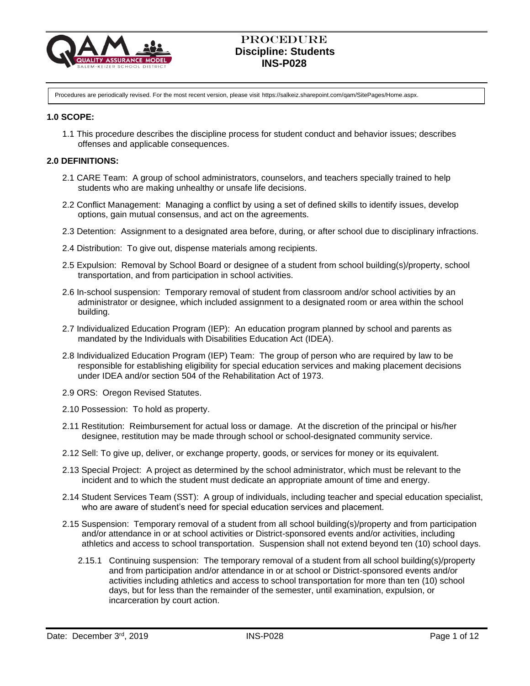

Procedures are periodically revised. For the most recent version, please visit https://salkeiz.sharepoint.com/qam/SitePages/Home.aspx.

### **1.0 SCOPE:**

1.1 This procedure describes the discipline process for student conduct and behavior issues; describes offenses and applicable consequences.

### **2.0 DEFINITIONS:**

- 2.1 CARE Team: A group of school administrators, counselors, and teachers specially trained to help students who are making unhealthy or unsafe life decisions.
- 2.2 Conflict Management: Managing a conflict by using a set of defined skills to identify issues, develop options, gain mutual consensus, and act on the agreements.
- 2.3 Detention: Assignment to a designated area before, during, or after school due to disciplinary infractions.
- 2.4 Distribution: To give out, dispense materials among recipients.
- 2.5 Expulsion: Removal by School Board or designee of a student from school building(s)/property, school transportation, and from participation in school activities.
- 2.6 In-school suspension: Temporary removal of student from classroom and/or school activities by an administrator or designee, which included assignment to a designated room or area within the school building.
- 2.7 Individualized Education Program (IEP): An education program planned by school and parents as mandated by the Individuals with Disabilities Education Act (IDEA).
- 2.8 Individualized Education Program (IEP) Team: The group of person who are required by law to be responsible for establishing eligibility for special education services and making placement decisions under IDEA and/or section 504 of the Rehabilitation Act of 1973.
- 2.9 ORS: Oregon Revised Statutes.
- 2.10 Possession: To hold as property.
- 2.11 Restitution: Reimbursement for actual loss or damage.At the discretion of the principal or his/her designee, restitution may be made through school or school-designated community service.
- 2.12 Sell: To give up, deliver, or exchange property, goods, or services for money or its equivalent.
- 2.13 Special Project: A project as determined by the school administrator, which must be relevant to the incident and to which the student must dedicate an appropriate amount of time and energy.
- 2.14 Student Services Team (SST): A group of individuals, including teacher and special education specialist, who are aware of student's need for special education services and placement.
- 2.15 Suspension: Temporary removal of a student from all school building(s)/property and from participation and/or attendance in or at school activities or District-sponsored events and/or activities, including athletics and access to school transportation. Suspension shall not extend beyond ten (10) school days.
	- 2.15.1 Continuing suspension: The temporary removal of a student from all school building(s)/property and from participation and/or attendance in or at school or District-sponsored events and/or activities including athletics and access to school transportation for more than ten (10) school days, but for less than the remainder of the semester, until examination, expulsion, or incarceration by court action.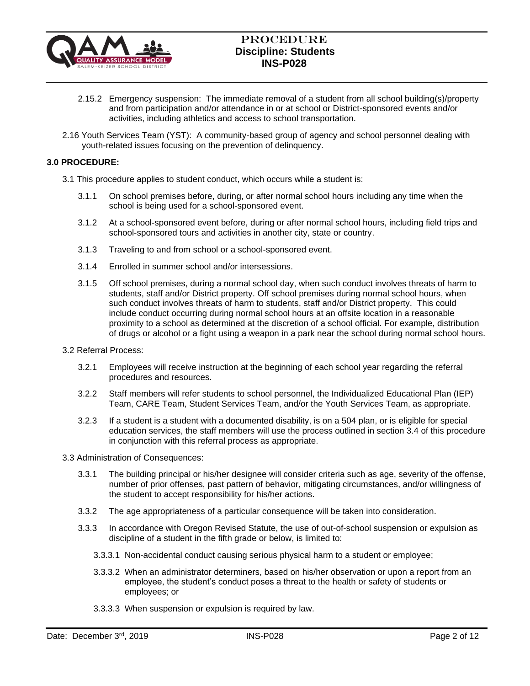

- 2.15.2 Emergency suspension: The immediate removal of a student from all school building(s)/property and from participation and/or attendance in or at school or District-sponsored events and/or activities, including athletics and access to school transportation.
- 2.16 Youth Services Team (YST): A community-based group of agency and school personnel dealing with youth-related issues focusing on the prevention of delinquency.

## **3.0 PROCEDURE:**

3.1 This procedure applies to student conduct, which occurs while a student is:

- 3.1.1 On school premises before, during, or after normal school hours including any time when the school is being used for a school-sponsored event.
- 3.1.2 At a school-sponsored event before, during or after normal school hours, including field trips and school-sponsored tours and activities in another city, state or country.
- 3.1.3 Traveling to and from school or a school-sponsored event.
- 3.1.4 Enrolled in summer school and/or intersessions.
- 3.1.5 Off school premises, during a normal school day, when such conduct involves threats of harm to students, staff and/or District property. Off school premises during normal school hours, when such conduct involves threats of harm to students, staff and/or District property. This could include conduct occurring during normal school hours at an offsite location in a reasonable proximity to a school as determined at the discretion of a school official. For example, distribution of drugs or alcohol or a fight using a weapon in a park near the school during normal school hours.
- 3.2 Referral Process:
	- 3.2.1 Employees will receive instruction at the beginning of each school year regarding the referral procedures and resources.
	- 3.2.2 Staff members will refer students to school personnel, the Individualized Educational Plan (IEP) Team, CARE Team, Student Services Team, and/or the Youth Services Team, as appropriate.
	- 3.2.3 If a student is a student with a documented disability, is on a 504 plan, or is eligible for special education services, the staff members will use the process outlined in section 3.4 of this procedure in conjunction with this referral process as appropriate.
- 3.3 Administration of Consequences:
	- 3.3.1 The building principal or his/her designee will consider criteria such as age, severity of the offense, number of prior offenses, past pattern of behavior, mitigating circumstances, and/or willingness of the student to accept responsibility for his/her actions.
	- 3.3.2 The age appropriateness of a particular consequence will be taken into consideration.
	- 3.3.3 In accordance with Oregon Revised Statute, the use of out-of-school suspension or expulsion as discipline of a student in the fifth grade or below, is limited to:
		- 3.3.3.1 Non-accidental conduct causing serious physical harm to a student or employee;
		- 3.3.3.2 When an administrator determiners, based on his/her observation or upon a report from an employee, the student's conduct poses a threat to the health or safety of students or employees; or
		- 3.3.3.3 When suspension or expulsion is required by law.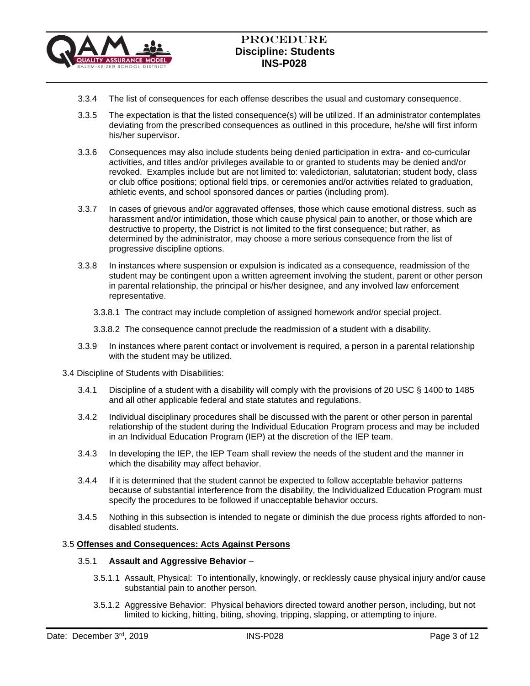

- 3.3.4 The list of consequences for each offense describes the usual and customary consequence.
- 3.3.5 The expectation is that the listed consequence(s) will be utilized. If an administrator contemplates deviating from the prescribed consequences as outlined in this procedure, he/she will first inform his/her supervisor.
- 3.3.6 Consequences may also include students being denied participation in extra- and co-curricular activities, and titles and/or privileges available to or granted to students may be denied and/or revoked. Examples include but are not limited to: valedictorian, salutatorian; student body, class or club office positions; optional field trips, or ceremonies and/or activities related to graduation, athletic events, and school sponsored dances or parties (including prom).
- 3.3.7 In cases of grievous and/or aggravated offenses, those which cause emotional distress, such as harassment and/or intimidation, those which cause physical pain to another, or those which are destructive to property, the District is not limited to the first consequence; but rather, as determined by the administrator, may choose a more serious consequence from the list of progressive discipline options.
- 3.3.8 In instances where suspension or expulsion is indicated as a consequence, readmission of the student may be contingent upon a written agreement involving the student, parent or other person in parental relationship, the principal or his/her designee, and any involved law enforcement representative.
	- 3.3.8.1 The contract may include completion of assigned homework and/or special project.
	- 3.3.8.2 The consequence cannot preclude the readmission of a student with a disability.
- 3.3.9 In instances where parent contact or involvement is required, a person in a parental relationship with the student may be utilized.
- 3.4 Discipline of Students with Disabilities:
	- 3.4.1 Discipline of a student with a disability will comply with the provisions of 20 USC § 1400 to 1485 and all other applicable federal and state statutes and regulations.
	- 3.4.2 Individual disciplinary procedures shall be discussed with the parent or other person in parental relationship of the student during the Individual Education Program process and may be included in an Individual Education Program (IEP) at the discretion of the IEP team.
	- 3.4.3 In developing the IEP, the IEP Team shall review the needs of the student and the manner in which the disability may affect behavior.
	- 3.4.4 If it is determined that the student cannot be expected to follow acceptable behavior patterns because of substantial interference from the disability, the Individualized Education Program must specify the procedures to be followed if unacceptable behavior occurs.
	- 3.4.5 Nothing in this subsection is intended to negate or diminish the due process rights afforded to nondisabled students.

#### 3.5 **Offenses and Consequences: Acts Against Persons**

#### 3.5.1 **Assault and Aggressive Behavior** –

- 3.5.1.1 Assault, Physical: To intentionally, knowingly, or recklessly cause physical injury and/or cause substantial pain to another person.
- 3.5.1.2 Aggressive Behavior: Physical behaviors directed toward another person, including, but not limited to kicking, hitting, biting, shoving, tripping, slapping, or attempting to injure.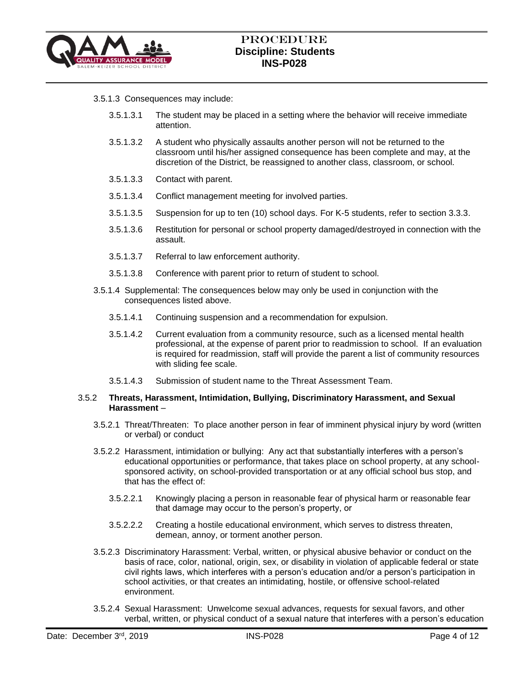

### 3.5.1.3 Consequences may include:

- 3.5.1.3.1 The student may be placed in a setting where the behavior will receive immediate attention.
- 3.5.1.3.2 A student who physically assaults another person will not be returned to the classroom until his/her assigned consequence has been complete and may, at the discretion of the District, be reassigned to another class, classroom, or school.
- 3.5.1.3.3 Contact with parent.
- 3.5.1.3.4 Conflict management meeting for involved parties.
- 3.5.1.3.5 Suspension for up to ten (10) school days. For K-5 students, refer to section 3.3.3.
- 3.5.1.3.6 Restitution for personal or school property damaged/destroyed in connection with the assault.
- 3.5.1.3.7 Referral to law enforcement authority.
- 3.5.1.3.8 Conference with parent prior to return of student to school.
- 3.5.1.4 Supplemental: The consequences below may only be used in conjunction with the consequences listed above.
	- 3.5.1.4.1 Continuing suspension and a recommendation for expulsion.
	- 3.5.1.4.2 Current evaluation from a community resource, such as a licensed mental health professional, at the expense of parent prior to readmission to school. If an evaluation is required for readmission, staff will provide the parent a list of community resources with sliding fee scale.
	- 3.5.1.4.3 Submission of student name to the Threat Assessment Team.

### 3.5.2 **Threats, Harassment, Intimidation, Bullying, Discriminatory Harassment, and Sexual Harassment** –

- 3.5.2.1 Threat/Threaten: To place another person in fear of imminent physical injury by word (written or verbal) or conduct
- 3.5.2.2 Harassment, intimidation or bullying: Any act that substantially interferes with a person's educational opportunities or performance, that takes place on school property, at any schoolsponsored activity, on school-provided transportation or at any official school bus stop, and that has the effect of:
	- 3.5.2.2.1 Knowingly placing a person in reasonable fear of physical harm or reasonable fear that damage may occur to the person's property, or
	- 3.5.2.2.2 Creating a hostile educational environment, which serves to distress threaten, demean, annoy, or torment another person.
- 3.5.2.3 Discriminatory Harassment: Verbal, written, or physical abusive behavior or conduct on the basis of race, color, national, origin, sex, or disability in violation of applicable federal or state civil rights laws, which interferes with a person's education and/or a person's participation in school activities, or that creates an intimidating, hostile, or offensive school-related environment.
- 3.5.2.4 Sexual Harassment: Unwelcome sexual advances, requests for sexual favors, and other verbal, written, or physical conduct of a sexual nature that interferes with a person's education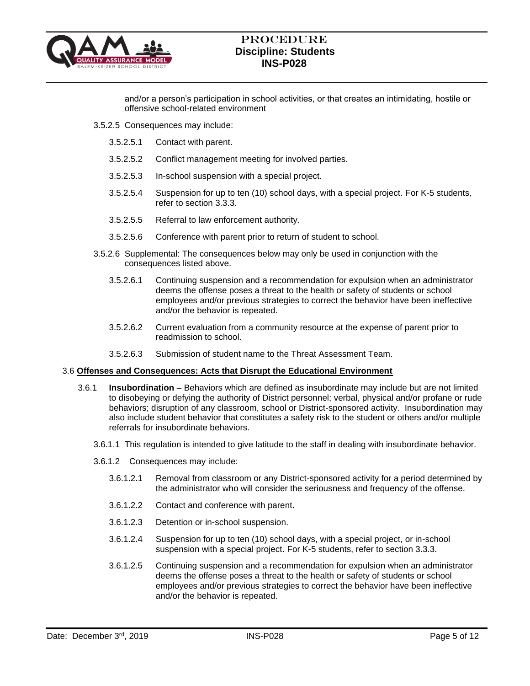

and/or a person's participation in school activities, or that creates an intimidating, hostile or offensive school-related environment

- 3.5.2.5 Consequences may include:
	- 3.5.2.5.1 Contact with parent.
	- 3.5.2.5.2 Conflict management meeting for involved parties.
	- 3.5.2.5.3 In-school suspension with a special project.
	- 3.5.2.5.4 Suspension for up to ten (10) school days, with a special project. For K-5 students, refer to section 3.3.3.
	- 3.5.2.5.5 Referral to law enforcement authority.
	- 3.5.2.5.6 Conference with parent prior to return of student to school.
- 3.5.2.6 Supplemental: The consequences below may only be used in conjunction with the consequences listed above.
	- 3.5.2.6.1 Continuing suspension and a recommendation for expulsion when an administrator deems the offense poses a threat to the health or safety of students or school employees and/or previous strategies to correct the behavior have been ineffective and/or the behavior is repeated.
	- 3.5.2.6.2 Current evaluation from a community resource at the expense of parent prior to readmission to school.
	- 3.5.2.6.3 Submission of student name to the Threat Assessment Team.

### 3.6 **Offenses and Consequences: Acts that Disrupt the Educational Environment**

- 3.6.1 **Insubordination** Behaviors which are defined as insubordinate may include but are not limited to disobeying or defying the authority of District personnel; verbal, physical and/or profane or rude behaviors; disruption of any classroom, school or District-sponsored activity. Insubordination may also include student behavior that constitutes a safety risk to the student or others and/or multiple referrals for insubordinate behaviors.
	- 3.6.1.1 This regulation is intended to give latitude to the staff in dealing with insubordinate behavior.
	- 3.6.1.2 Consequences may include:
		- 3.6.1.2.1 Removal from classroom or any District-sponsored activity for a period determined by the administrator who will consider the seriousness and frequency of the offense.
		- 3.6.1.2.2 Contact and conference with parent.
		- 3.6.1.2.3 Detention or in-school suspension.
		- 3.6.1.2.4 Suspension for up to ten (10) school days, with a special project, or in-school suspension with a special project. For K-5 students, refer to section 3.3.3.
		- 3.6.1.2.5 Continuing suspension and a recommendation for expulsion when an administrator deems the offense poses a threat to the health or safety of students or school employees and/or previous strategies to correct the behavior have been ineffective and/or the behavior is repeated.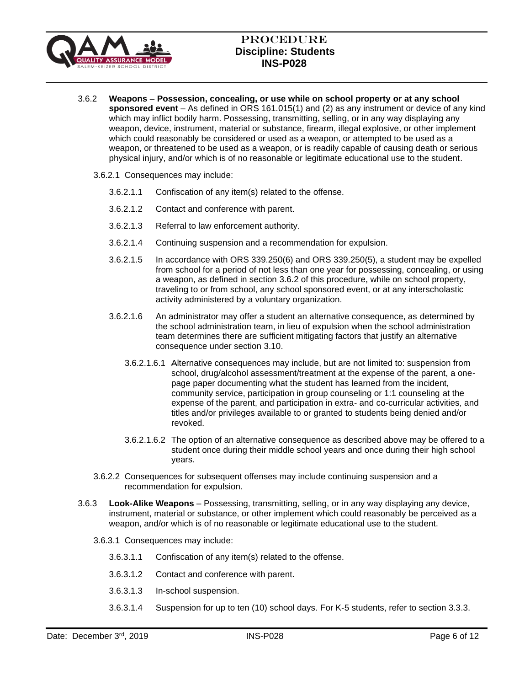

- 3.6.2 **Weapons Possession, concealing, or use while on school property or at any school sponsored event** – As defined in ORS 161.015(1) and (2) as any instrument or device of any kind which may inflict bodily harm. Possessing, transmitting, selling, or in any way displaying any weapon, device, instrument, material or substance, firearm, illegal explosive, or other implement which could reasonably be considered or used as a weapon, or attempted to be used as a weapon, or threatened to be used as a weapon, or is readily capable of causing death or serious physical injury, and/or which is of no reasonable or legitimate educational use to the student.
	- 3.6.2.1 Consequences may include:
		- 3.6.2.1.1 Confiscation of any item(s) related to the offense.
		- 3.6.2.1.2 Contact and conference with parent.
		- 3.6.2.1.3 Referral to law enforcement authority.
		- 3.6.2.1.4 Continuing suspension and a recommendation for expulsion.
		- 3.6.2.1.5 In accordance with ORS 339.250(6) and ORS 339.250(5), a student may be expelled from school for a period of not less than one year for possessing, concealing, or using a weapon, as defined in section 3.6.2 of this procedure, while on school property, traveling to or from school, any school sponsored event, or at any interscholastic activity administered by a voluntary organization.
		- 3.6.2.1.6 An administrator may offer a student an alternative consequence, as determined by the school administration team, in lieu of expulsion when the school administration team determines there are sufficient mitigating factors that justify an alternative consequence under section 3.10.
			- 3.6.2.1.6.1 Alternative consequences may include, but are not limited to: suspension from school, drug/alcohol assessment/treatment at the expense of the parent, a onepage paper documenting what the student has learned from the incident, community service, participation in group counseling or 1:1 counseling at the expense of the parent, and participation in extra- and co-curricular activities, and titles and/or privileges available to or granted to students being denied and/or revoked.
			- 3.6.2.1.6.2 The option of an alternative consequence as described above may be offered to a student once during their middle school years and once during their high school years.
	- 3.6.2.2 Consequences for subsequent offenses may include continuing suspension and a recommendation for expulsion.
- 3.6.3 **Look-Alike Weapons** Possessing, transmitting, selling, or in any way displaying any device, instrument, material or substance, or other implement which could reasonably be perceived as a weapon, and/or which is of no reasonable or legitimate educational use to the student.
	- 3.6.3.1 Consequences may include:
		- 3.6.3.1.1 Confiscation of any item(s) related to the offense.
		- 3.6.3.1.2 Contact and conference with parent.
		- 3.6.3.1.3 In-school suspension.
		- 3.6.3.1.4 Suspension for up to ten (10) school days. For K-5 students, refer to section 3.3.3.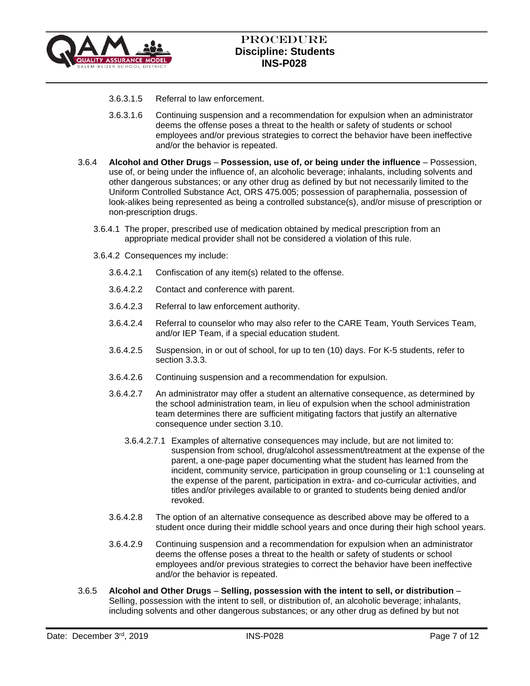

- 3.6.3.1.5 Referral to law enforcement.
- 3.6.3.1.6 Continuing suspension and a recommendation for expulsion when an administrator deems the offense poses a threat to the health or safety of students or school employees and/or previous strategies to correct the behavior have been ineffective and/or the behavior is repeated.
- 3.6.4 **Alcohol and Other Drugs Possession, use of, or being under the influence** Possession, use of, or being under the influence of, an alcoholic beverage; inhalants, including solvents and other dangerous substances; or any other drug as defined by but not necessarily limited to the Uniform Controlled Substance Act, ORS 475.005; possession of paraphernalia, possession of look-alikes being represented as being a controlled substance(s), and/or misuse of prescription or non-prescription drugs.
	- 3.6.4.1 The proper, prescribed use of medication obtained by medical prescription from an appropriate medical provider shall not be considered a violation of this rule.
	- 3.6.4.2 Consequences my include:
		- 3.6.4.2.1 Confiscation of any item(s) related to the offense.
		- 3.6.4.2.2 Contact and conference with parent.
		- 3.6.4.2.3 Referral to law enforcement authority.
		- 3.6.4.2.4 Referral to counselor who may also refer to the CARE Team, Youth Services Team, and/or IEP Team, if a special education student.
		- 3.6.4.2.5 Suspension, in or out of school, for up to ten (10) days. For K-5 students, refer to section 3.3.3.
		- 3.6.4.2.6 Continuing suspension and a recommendation for expulsion.
		- 3.6.4.2.7 An administrator may offer a student an alternative consequence, as determined by the school administration team, in lieu of expulsion when the school administration team determines there are sufficient mitigating factors that justify an alternative consequence under section 3.10.
			- 3.6.4.2.7.1 Examples of alternative consequences may include, but are not limited to: suspension from school, drug/alcohol assessment/treatment at the expense of the parent, a one-page paper documenting what the student has learned from the incident, community service, participation in group counseling or 1:1 counseling at the expense of the parent, participation in extra- and co-curricular activities, and titles and/or privileges available to or granted to students being denied and/or revoked.
		- 3.6.4.2.8 The option of an alternative consequence as described above may be offered to a student once during their middle school years and once during their high school years.
		- 3.6.4.2.9 Continuing suspension and a recommendation for expulsion when an administrator deems the offense poses a threat to the health or safety of students or school employees and/or previous strategies to correct the behavior have been ineffective and/or the behavior is repeated.
- 3.6.5 **Alcohol and Other Drugs Selling, possession with the intent to sell, or distribution** Selling, possession with the intent to sell, or distribution of, an alcoholic beverage; inhalants, including solvents and other dangerous substances; or any other drug as defined by but not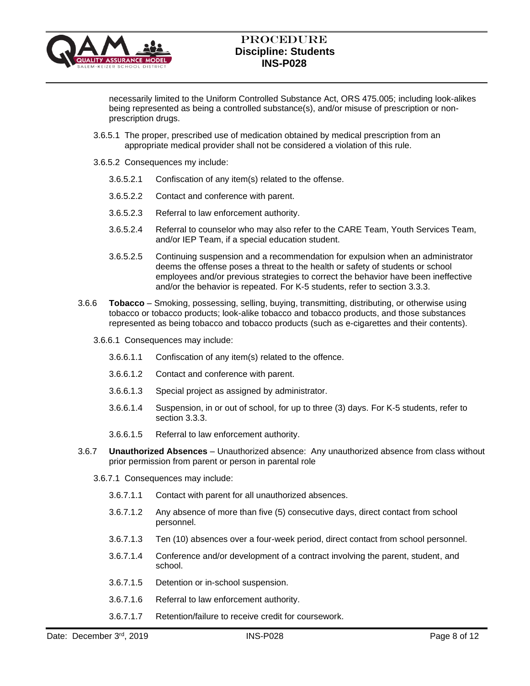

necessarily limited to the Uniform Controlled Substance Act, ORS 475.005; including look-alikes being represented as being a controlled substance(s), and/or misuse of prescription or nonprescription drugs.

- 3.6.5.1 The proper, prescribed use of medication obtained by medical prescription from an appropriate medical provider shall not be considered a violation of this rule.
- 3.6.5.2 Consequences my include:
	- 3.6.5.2.1 Confiscation of any item(s) related to the offense.
	- 3.6.5.2.2 Contact and conference with parent.
	- 3.6.5.2.3 Referral to law enforcement authority.
	- 3.6.5.2.4 Referral to counselor who may also refer to the CARE Team, Youth Services Team, and/or IEP Team, if a special education student.
	- 3.6.5.2.5 Continuing suspension and a recommendation for expulsion when an administrator deems the offense poses a threat to the health or safety of students or school employees and/or previous strategies to correct the behavior have been ineffective and/or the behavior is repeated. For K-5 students, refer to section 3.3.3.
- 3.6.6 **Tobacco** Smoking, possessing, selling, buying, transmitting, distributing, or otherwise using tobacco or tobacco products; look-alike tobacco and tobacco products, and those substances represented as being tobacco and tobacco products (such as e-cigarettes and their contents).
	- 3.6.6.1 Consequences may include:
		- 3.6.6.1.1 Confiscation of any item(s) related to the offence.
		- 3.6.6.1.2 Contact and conference with parent.
		- 3.6.6.1.3 Special project as assigned by administrator.
		- 3.6.6.1.4 Suspension, in or out of school, for up to three (3) days. For K-5 students, refer to section 3.3.3.
		- 3.6.6.1.5 Referral to law enforcement authority.
- 3.6.7 **Unauthorized Absences** Unauthorized absence: Any unauthorized absence from class without prior permission from parent or person in parental role
	- 3.6.7.1 Consequences may include:
		- 3.6.7.1.1 Contact with parent for all unauthorized absences.
		- 3.6.7.1.2 Any absence of more than five (5) consecutive days, direct contact from school personnel.
		- 3.6.7.1.3 Ten (10) absences over a four-week period, direct contact from school personnel.
		- 3.6.7.1.4 Conference and/or development of a contract involving the parent, student, and school.
		- 3.6.7.1.5 Detention or in-school suspension.
		- 3.6.7.1.6 Referral to law enforcement authority.
		- 3.6.7.1.7 Retention/failure to receive credit for coursework.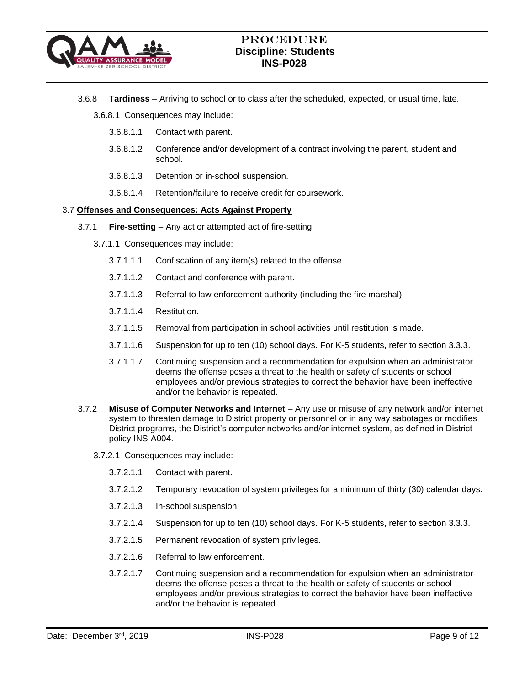

3.6.8 **Tardiness** – Arriving to school or to class after the scheduled, expected, or usual time, late.

3.6.8.1 Consequences may include:

- 3.6.8.1.1 Contact with parent.
- 3.6.8.1.2 Conference and/or development of a contract involving the parent, student and school.
- 3.6.8.1.3 Detention or in-school suspension.
- 3.6.8.1.4 Retention/failure to receive credit for coursework.

### 3.7 **Offenses and Consequences: Acts Against Property**

- 3.7.1 **Fire-setting** Any act or attempted act of fire-setting
	- 3.7.1.1 Consequences may include:
		- 3.7.1.1.1 Confiscation of any item(s) related to the offense.
		- 3.7.1.1.2 Contact and conference with parent.
		- 3.7.1.1.3 Referral to law enforcement authority (including the fire marshal).
		- 3.7.1.1.4 Restitution.
		- 3.7.1.1.5 Removal from participation in school activities until restitution is made.
		- 3.7.1.1.6 Suspension for up to ten (10) school days. For K-5 students, refer to section 3.3.3.
		- 3.7.1.1.7 Continuing suspension and a recommendation for expulsion when an administrator deems the offense poses a threat to the health or safety of students or school employees and/or previous strategies to correct the behavior have been ineffective and/or the behavior is repeated.
- 3.7.2 **Misuse of Computer Networks and Internet** Any use or misuse of any network and/or internet system to threaten damage to District property or personnel or in any way sabotages or modifies District programs, the District's computer networks and/or internet system, as defined in District policy INS-A004.
	- 3.7.2.1 Consequences may include:
		- 3.7.2.1.1 Contact with parent.
		- 3.7.2.1.2 Temporary revocation of system privileges for a minimum of thirty (30) calendar days.
		- 3.7.2.1.3 In-school suspension.
		- 3.7.2.1.4 Suspension for up to ten (10) school days. For K-5 students, refer to section 3.3.3.
		- 3.7.2.1.5 Permanent revocation of system privileges.
		- 3.7.2.1.6 Referral to law enforcement.
		- 3.7.2.1.7 Continuing suspension and a recommendation for expulsion when an administrator deems the offense poses a threat to the health or safety of students or school employees and/or previous strategies to correct the behavior have been ineffective and/or the behavior is repeated.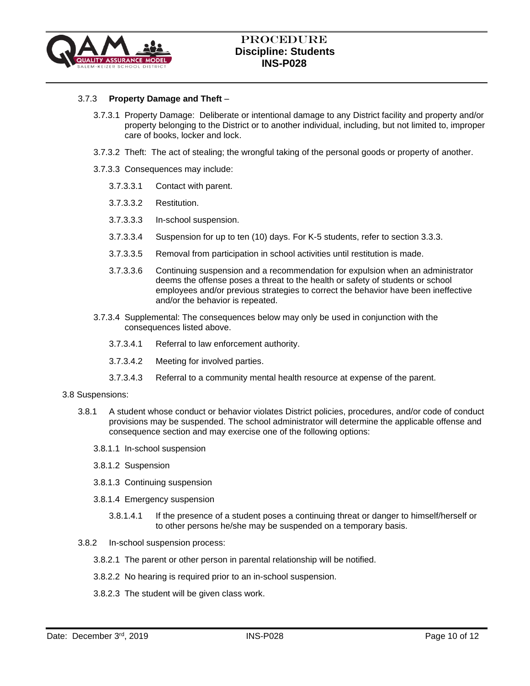

## 3.7.3 **Property Damage and Theft** –

- 3.7.3.1 Property Damage: Deliberate or intentional damage to any District facility and property and/or property belonging to the District or to another individual, including, but not limited to, improper care of books, locker and lock.
- 3.7.3.2 Theft: The act of stealing; the wrongful taking of the personal goods or property of another.
- 3.7.3.3 Consequences may include:
	- 3.7.3.3.1 Contact with parent.
	- 3.7.3.3.2 Restitution.
	- 3.7.3.3.3 In-school suspension.
	- 3.7.3.3.4 Suspension for up to ten (10) days. For K-5 students, refer to section 3.3.3.
	- 3.7.3.3.5 Removal from participation in school activities until restitution is made.
	- 3.7.3.3.6 Continuing suspension and a recommendation for expulsion when an administrator deems the offense poses a threat to the health or safety of students or school employees and/or previous strategies to correct the behavior have been ineffective and/or the behavior is repeated.
- 3.7.3.4 Supplemental: The consequences below may only be used in conjunction with the consequences listed above.
	- 3.7.3.4.1 Referral to law enforcement authority.
	- 3.7.3.4.2 Meeting for involved parties.
	- 3.7.3.4.3 Referral to a community mental health resource at expense of the parent.

#### 3.8 Suspensions:

- 3.8.1 A student whose conduct or behavior violates District policies, procedures, and/or code of conduct provisions may be suspended. The school administrator will determine the applicable offense and consequence section and may exercise one of the following options:
	- 3.8.1.1 In-school suspension
	- 3.8.1.2 Suspension
	- 3.8.1.3 Continuing suspension
	- 3.8.1.4 Emergency suspension
		- 3.8.1.4.1 If the presence of a student poses a continuing threat or danger to himself/herself or to other persons he/she may be suspended on a temporary basis.
- 3.8.2 In-school suspension process:
	- 3.8.2.1 The parent or other person in parental relationship will be notified.
	- 3.8.2.2 No hearing is required prior to an in-school suspension.
	- 3.8.2.3 The student will be given class work.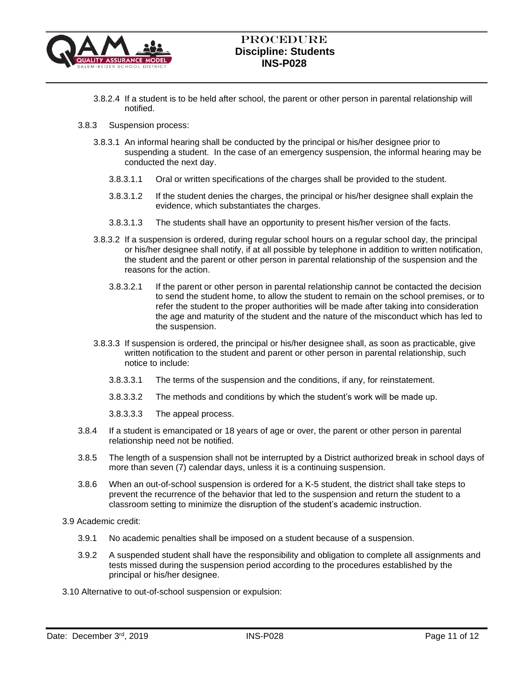

- 3.8.2.4 If a student is to be held after school, the parent or other person in parental relationship will notified.
- 3.8.3 Suspension process:
	- 3.8.3.1 An informal hearing shall be conducted by the principal or his/her designee prior to suspending a student. In the case of an emergency suspension, the informal hearing may be conducted the next day.
		- 3.8.3.1.1 Oral or written specifications of the charges shall be provided to the student.
		- 3.8.3.1.2 If the student denies the charges, the principal or his/her designee shall explain the evidence, which substantiates the charges.
		- 3.8.3.1.3 The students shall have an opportunity to present his/her version of the facts.
	- 3.8.3.2 If a suspension is ordered, during regular school hours on a regular school day, the principal or his/her designee shall notify, if at all possible by telephone in addition to written notification, the student and the parent or other person in parental relationship of the suspension and the reasons for the action.
		- 3.8.3.2.1 If the parent or other person in parental relationship cannot be contacted the decision to send the student home, to allow the student to remain on the school premises, or to refer the student to the proper authorities will be made after taking into consideration the age and maturity of the student and the nature of the misconduct which has led to the suspension.
	- 3.8.3.3 If suspension is ordered, the principal or his/her designee shall, as soon as practicable, give written notification to the student and parent or other person in parental relationship, such notice to include:
		- 3.8.3.3.1 The terms of the suspension and the conditions, if any, for reinstatement.
		- 3.8.3.3.2 The methods and conditions by which the student's work will be made up.
		- 3.8.3.3.3 The appeal process.
- 3.8.4 If a student is emancipated or 18 years of age or over, the parent or other person in parental relationship need not be notified.
- 3.8.5 The length of a suspension shall not be interrupted by a District authorized break in school days of more than seven (7) calendar days, unless it is a continuing suspension.
- 3.8.6 When an out-of-school suspension is ordered for a K-5 student, the district shall take steps to prevent the recurrence of the behavior that led to the suspension and return the student to a classroom setting to minimize the disruption of the student's academic instruction.
- 3.9 Academic credit:
	- 3.9.1 No academic penalties shall be imposed on a student because of a suspension.
	- 3.9.2 A suspended student shall have the responsibility and obligation to complete all assignments and tests missed during the suspension period according to the procedures established by the principal or his/her designee.
- 3.10 Alternative to out-of-school suspension or expulsion: